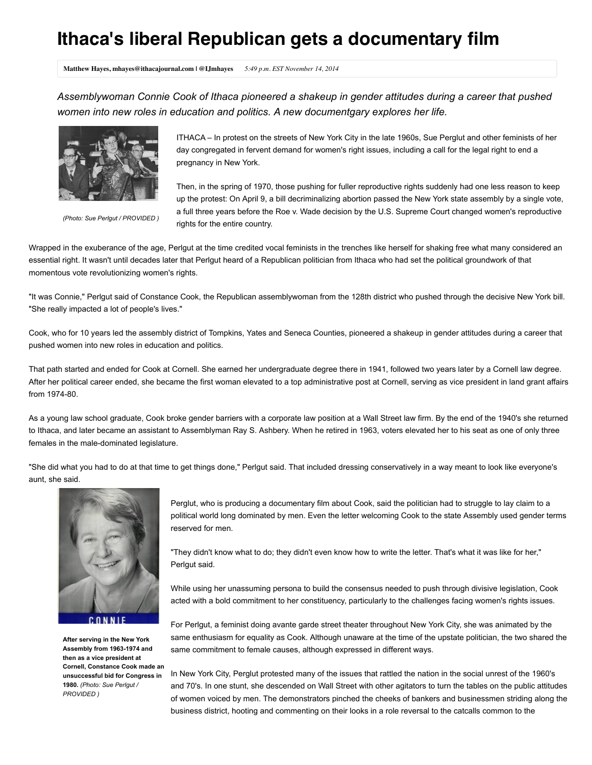## **Ithaca's liberal Republican gets a documentary film**

**Matthew Hayes, mhayes@ithacajournal.com | @IJmhayes** *5:49 p.m. EST November 14, 2014*

*Assemblywoman Connie Cook of Ithaca pioneered a shakeup in gender attitudes during a career that pushed women into new roles in education and politics. A new documentgary explores her life.*



*(Photo: Sue Perlgut / PROVIDED )*

ITHACA – In protest on the streets of New York City in the late 1960s, Sue Perglut and other feminists of her day congregated in fervent demand for women's right issues, including a call for the legal right to end a pregnancy in New York.

Then, in the spring of 1970, those pushing for fuller reproductive rights suddenly had one less reason to keep up the protest: On April 9, a bill decriminalizing abortion passed the New York state assembly by a single vote, a full three years before the Roe v. Wade decision by the U.S. Supreme Court changed women's reproductive rights for the entire country.

Wrapped in the exuberance of the age, Perlgut at the time credited vocal feminists in the trenches like herself for shaking free what many considered an essential right. It wasn't until decades later that Perlgut heard of a Republican politician from Ithaca who had set the political groundwork of that momentous vote revolutionizing women's rights.

"It was Connie," Perlgut said of Constance Cook, the Republican assemblywoman from the 128th district who pushed through the decisive New York bill. "She really impacted a lot of people's lives."

Cook, who for 10 years led the assembly district of Tompkins, Yates and Seneca Counties, pioneered a shakeup in gender attitudes during a career that pushed women into new roles in education and politics.

That path started and ended for Cook at Cornell. She earned her undergraduate degree there in 1941, followed two years later by a Cornell law degree. After her political career ended, she became the first woman elevated to a top administrative post at Cornell, serving as vice president in land grant affairs from 1974-80.

As a young law school graduate, Cook broke gender barriers with a corporate law position at a Wall Street law firm. By the end of the 1940's she returned to Ithaca, and later became an assistant to Assemblyman Ray S. Ashbery. When he retired in 1963, voters elevated her to his seat as one of only three females in the male-dominated legislature.

"She did what you had to do at that time to get things done," Perlgut said. That included dressing conservatively in a way meant to look like everyone's aunt, she said.



**After serving in the New York Assembly from 1963-1974 and then as a vice president at Cornell, Constance Cook made an unsuccessful bid for Congress in 1980.** *(Photo: Sue Perlgut / PROVIDED )*

Perglut, who is producing a documentary film about Cook, said the politician had to struggle to lay claim to a political world long dominated by men. Even the letter welcoming Cook to the state Assembly used gender terms reserved for men.

"They didn't know what to do; they didn't even know how to write the letter. That's what it was like for her," Perlgut said.

While using her unassuming persona to build the consensus needed to push through divisive legislation, Cook acted with a bold commitment to her constituency, particularly to the challenges facing women's rights issues.

For Perlgut, a feminist doing avante garde street theater throughout New York City, she was animated by the same enthusiasm for equality as Cook. Although unaware at the time of the upstate politician, the two shared the same commitment to female causes, although expressed in different ways.

In New York City, Perglut protested many of the issues that rattled the nation in the social unrest of the 1960's and 70's. In one stunt, she descended on Wall Street with other agitators to turn the tables on the public attitudes of women voiced by men. The demonstrators pinched the cheeks of bankers and businessmen striding along the business district, hooting and commenting on their looks in a role reversal to the catcalls common to the